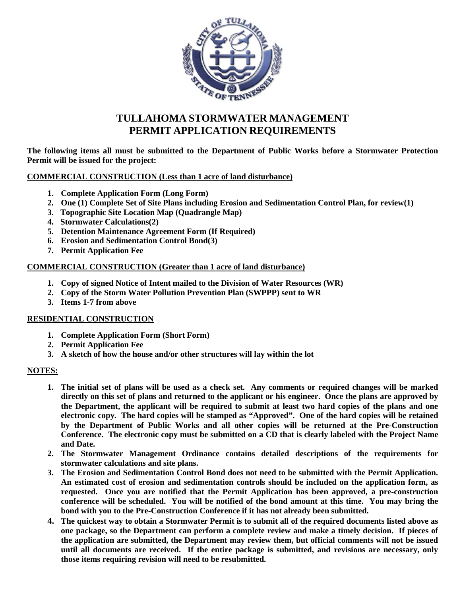

# **TULLAHOMA STORMWATER MANAGEMENT PERMIT APPLICATION REQUIREMENTS**

**The following items all must be submitted to the Department of Public Works before a Stormwater Protection Permit will be issued for the project:**

**COMMERCIAL CONSTRUCTION (Less than 1 acre of land disturbance)**

- **1. Complete Application Form (Long Form)**
- **2. One (1) Complete Set of Site Plans including Erosion and Sedimentation Control Plan, for review(1)**
- **3. Topographic Site Location Map (Quadrangle Map)**
- **4. Stormwater Calculations(2)**
- **5. Detention Maintenance Agreement Form (If Required)**
- **6. Erosion and Sedimentation Control Bond(3)**
- **7. Permit Application Fee**

#### **COMMERCIAL CONSTRUCTION (Greater than 1 acre of land disturbance)**

- **1. Copy of signed Notice of Intent mailed to the Division of Water Resources (WR)**
- **2. Copy of the Storm Water Pollution Prevention Plan (SWPPP) sent to WR**
- **3. Items 1-7 from above**

#### **RESIDENTIAL CONSTRUCTION**

- **1. Complete Application Form (Short Form)**
- **2. Permit Application Fee**
- **3. A sketch of how the house and/or other structures will lay within the lot**

#### **NOTES:**

- **1. The initial set of plans will be used as a check set. Any comments or required changes will be marked directly on this set of plans and returned to the applicant or his engineer. Once the plans are approved by the Department, the applicant will be required to submit at least two hard copies of the plans and one electronic copy. The hard copies will be stamped as "Approved". One of the hard copies will be retained by the Department of Public Works and all other copies will be returned at the Pre-Construction Conference. The electronic copy must be submitted on a CD that is clearly labeled with the Project Name and Date.**
- **2. The Stormwater Management Ordinance contains detailed descriptions of the requirements for stormwater calculations and site plans.**
- **3. The Erosion and Sedimentation Control Bond does not need to be submitted with the Permit Application. An estimated cost of erosion and sedimentation controls should be included on the application form, as requested. Once you are notified that the Permit Application has been approved, a pre-construction conference will be scheduled. You will be notified of the bond amount at this time. You may bring the bond with you to the Pre-Construction Conference if it has not already been submitted.**
- **4. The quickest way to obtain a Stormwater Permit is to submit all of the required documents listed above as one package, so the Department can perform a complete review and make a timely decision. If pieces of the application are submitted, the Department may review them, but official comments will not be issued until all documents are received. If the entire package is submitted, and revisions are necessary, only those items requiring revision will need to be resubmitted.**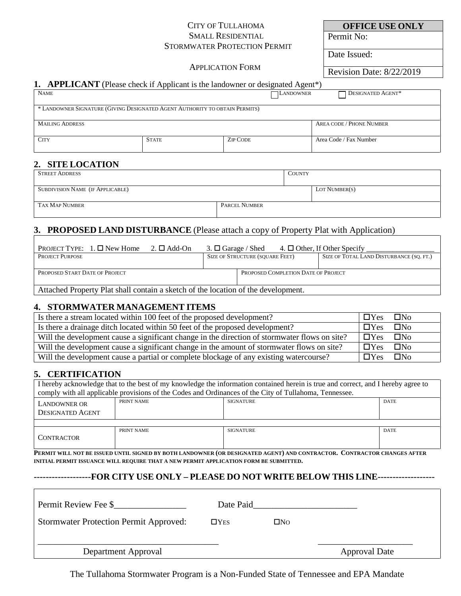#### CITY OF TULLAHOMA SMALL RESIDENTIAL STORMWATER PROTECTION PERMIT

**OFFICE USE ONLY**

Permit No:

Date Issued:

#### APPLICATION FORM

Revision Date: 8/22/2019

#### **1. APPLICANT** (Please check if Applicant is the landowner or designated Agent\*)

| <b>NAME</b>                                                                 |              | <b>LANDOWNER</b> | DESIGNATED AGENT*        |  |  |
|-----------------------------------------------------------------------------|--------------|------------------|--------------------------|--|--|
| * LANDOWNER SIGNATURE (GIVING DESIGNATED AGENT AUTHORITY TO OBTAIN PERMITS) |              |                  |                          |  |  |
| <b>MAILING ADDRESS</b>                                                      |              |                  | AREA CODE / PHONE NUMBER |  |  |
| <b>CITY</b>                                                                 | <b>STATE</b> | <b>ZIP CODE</b>  | Area Code / Fax Number   |  |  |

#### **2. SITE LOCATION**

| <b>STREET ADDRESS</b>                   |               | <b>COUNTY</b> |               |
|-----------------------------------------|---------------|---------------|---------------|
|                                         |               |               |               |
| <b>SUBDIVISION NAME (IF APPLICABLE)</b> |               |               | LOT NUMBER(S) |
|                                         |               |               |               |
| TAX MAP NUMBER                          | PARCEL NUMBER |               |               |
|                                         |               |               |               |

# **3. PROPOSED LAND DISTURBANCE** (Please attach a copy of Property Plat with Application)

| PROJECT TYPE: $1. \Box$ New Home                                                  | $2. \Box$ Add-On |                                        |  |                                     | 3. $\Box$ Garage / Shed 4. $\Box$ Other, If Other Specify |
|-----------------------------------------------------------------------------------|------------------|----------------------------------------|--|-------------------------------------|-----------------------------------------------------------|
| <b>PROJECT PURPOSE</b>                                                            |                  | <b>SIZE OF STRUCTURE (SQUARE FEET)</b> |  |                                     | SIZE OF TOTAL LAND DISTURBANCE (SQ. FT.)                  |
|                                                                                   |                  |                                        |  |                                     |                                                           |
| PROPOSED START DATE OF PROJECT                                                    |                  |                                        |  | PROPOSED COMPLETION DATE OF PROJECT |                                                           |
|                                                                                   |                  |                                        |  |                                     |                                                           |
| Attached Property Plat shall contain a sketch of the location of the development. |                  |                                        |  |                                     |                                                           |

# **4. STORMWATER MANAGEMENT ITEMS**

| Is there a stream located within 100 feet of the proposed development?                        | $\Box$ Yes | $\square$ No |
|-----------------------------------------------------------------------------------------------|------------|--------------|
| Is there a drainage ditch located within 50 feet of the proposed development?                 | $\Box$ Yes | $\square$ No |
| Will the development cause a significant change in the direction of stormwater flows on site? | $\Box$ Yes | $\square$ No |
| Will the development cause a significant change in the amount of stormwater flows on site?    | $\Box$ Yes | $\square$ No |
| Will the development cause a partial or complete blockage of any existing watercourse?        | $\Box$ Yes | $\square$ No |

# **5. CERTIFICATION**

I hereby acknowledge that to the best of my knowledge the information contained herein is true and correct, and I hereby agree to comply with all applicable provisions of the Codes and Ordinances of the City of Tullahoma, Tennessee.

| LANDOWNER OR<br><b>DESIGNATED AGENT</b> | PRINT NAME | SIGNATURE | <b>DATE</b> |
|-----------------------------------------|------------|-----------|-------------|
|                                         |            |           |             |
| <b>CONTRACTOR</b>                       | PRINT NAME | SIGNATURE | DATE        |

**PERMIT WILL NOT BE ISSUED UNTIL SIGNED BY BOTH LANDOWNER (OR DESIGNATED AGENT) AND CONTRACTOR. CONTRACTOR CHANGES AFTER INITIAL PERMIT ISSUANCE WILL REQUIRE THAT A NEW PERMIT APPLICATION FORM BE SUBMITTED.** 

#### **-------------------FOR CITY USE ONLY – PLEASE DO NOT WRITE BELOW THIS LINE-------------------**

| Permit Review Fee \$                          | Date Paid     |              |                      |
|-----------------------------------------------|---------------|--------------|----------------------|
| <b>Stormwater Protection Permit Approved:</b> | $\square$ Yes | $\square$ No |                      |
| Department Approval                           |               |              | <b>Approval Date</b> |

The Tullahoma Stormwater Program is a Non-Funded State of Tennessee and EPA Mandate